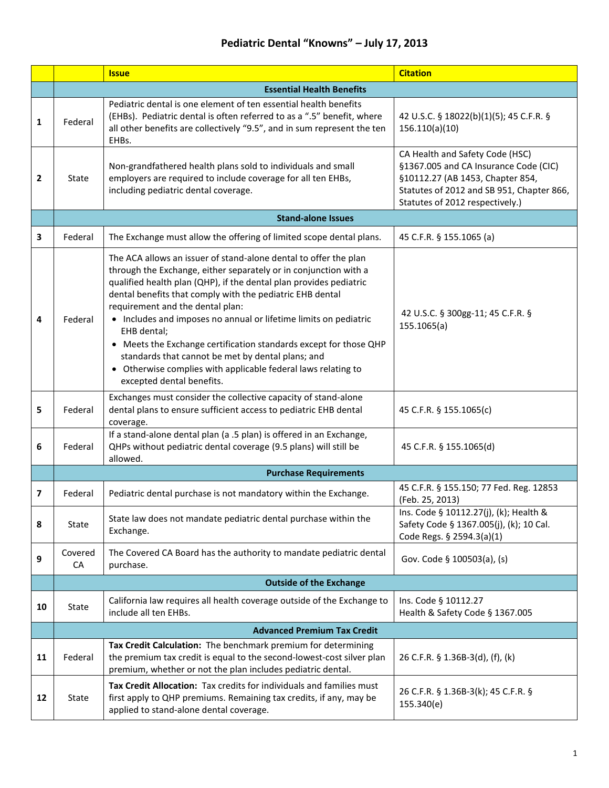|    |                                  | <b>Issue</b>                                                                                                                                                                                                                                                                                                                                                                                                                                                                                                                                                                                                           | <b>Citation</b>                                                                                                                                                                              |  |
|----|----------------------------------|------------------------------------------------------------------------------------------------------------------------------------------------------------------------------------------------------------------------------------------------------------------------------------------------------------------------------------------------------------------------------------------------------------------------------------------------------------------------------------------------------------------------------------------------------------------------------------------------------------------------|----------------------------------------------------------------------------------------------------------------------------------------------------------------------------------------------|--|
|    | <b>Essential Health Benefits</b> |                                                                                                                                                                                                                                                                                                                                                                                                                                                                                                                                                                                                                        |                                                                                                                                                                                              |  |
| 1  | Federal                          | Pediatric dental is one element of ten essential health benefits<br>(EHBs). Pediatric dental is often referred to as a ".5" benefit, where<br>all other benefits are collectively "9.5", and in sum represent the ten<br>EHBs.                                                                                                                                                                                                                                                                                                                                                                                         | 42 U.S.C. § 18022(b)(1)(5); 45 C.F.R. §<br>156.110(a)(10)                                                                                                                                    |  |
| 2  | State                            | Non-grandfathered health plans sold to individuals and small<br>employers are required to include coverage for all ten EHBs,<br>including pediatric dental coverage.                                                                                                                                                                                                                                                                                                                                                                                                                                                   | CA Health and Safety Code (HSC)<br>§1367.005 and CA Insurance Code (CIC)<br>§10112.27 (AB 1453, Chapter 854,<br>Statutes of 2012 and SB 951, Chapter 866,<br>Statutes of 2012 respectively.) |  |
|    | <b>Stand-alone Issues</b>        |                                                                                                                                                                                                                                                                                                                                                                                                                                                                                                                                                                                                                        |                                                                                                                                                                                              |  |
| 3  | Federal                          | The Exchange must allow the offering of limited scope dental plans.                                                                                                                                                                                                                                                                                                                                                                                                                                                                                                                                                    | 45 C.F.R. § 155.1065 (a)                                                                                                                                                                     |  |
| 4  | Federal                          | The ACA allows an issuer of stand-alone dental to offer the plan<br>through the Exchange, either separately or in conjunction with a<br>qualified health plan (QHP), if the dental plan provides pediatric<br>dental benefits that comply with the pediatric EHB dental<br>requirement and the dental plan:<br>• Includes and imposes no annual or lifetime limits on pediatric<br>EHB dental;<br>• Meets the Exchange certification standards except for those QHP<br>standards that cannot be met by dental plans; and<br>• Otherwise complies with applicable federal laws relating to<br>excepted dental benefits. | 42 U.S.C. § 300gg-11; 45 C.F.R. §<br>155.1065(a)                                                                                                                                             |  |
| 5  | Federal                          | Exchanges must consider the collective capacity of stand-alone<br>dental plans to ensure sufficient access to pediatric EHB dental<br>coverage.                                                                                                                                                                                                                                                                                                                                                                                                                                                                        | 45 C.F.R. § 155.1065(c)                                                                                                                                                                      |  |
| 6  | Federal                          | If a stand-alone dental plan (a .5 plan) is offered in an Exchange,<br>QHPs without pediatric dental coverage (9.5 plans) will still be<br>allowed.                                                                                                                                                                                                                                                                                                                                                                                                                                                                    | 45 C.F.R. § 155.1065(d)                                                                                                                                                                      |  |
|    |                                  | <b>Purchase Requirements</b>                                                                                                                                                                                                                                                                                                                                                                                                                                                                                                                                                                                           |                                                                                                                                                                                              |  |
| 7  | Federal                          | Pediatric dental purchase is not mandatory within the Exchange.                                                                                                                                                                                                                                                                                                                                                                                                                                                                                                                                                        | 45 C.F.R. § 155.150; 77 Fed. Reg. 12853<br>(Feb. 25, 2013)                                                                                                                                   |  |
| 8  | <b>State</b>                     | State law does not mandate pediatric dental purchase within the<br>Exchange.                                                                                                                                                                                                                                                                                                                                                                                                                                                                                                                                           | Ins. Code § 10112.27(j), (k); Health &<br>Safety Code § 1367.005(j), (k); 10 Cal.<br>Code Regs. § 2594.3(a)(1)                                                                               |  |
| 9  | Covered<br>CA                    | The Covered CA Board has the authority to mandate pediatric dental<br>purchase.                                                                                                                                                                                                                                                                                                                                                                                                                                                                                                                                        | Gov. Code § 100503(a), (s)                                                                                                                                                                   |  |
|    | <b>Outside of the Exchange</b>   |                                                                                                                                                                                                                                                                                                                                                                                                                                                                                                                                                                                                                        |                                                                                                                                                                                              |  |
| 10 | <b>State</b>                     | California law requires all health coverage outside of the Exchange to<br>include all ten EHBs.                                                                                                                                                                                                                                                                                                                                                                                                                                                                                                                        | Ins. Code § 10112.27<br>Health & Safety Code § 1367.005                                                                                                                                      |  |
|    |                                  | <b>Advanced Premium Tax Credit</b>                                                                                                                                                                                                                                                                                                                                                                                                                                                                                                                                                                                     |                                                                                                                                                                                              |  |
| 11 | Federal                          | Tax Credit Calculation: The benchmark premium for determining<br>the premium tax credit is equal to the second-lowest-cost silver plan<br>premium, whether or not the plan includes pediatric dental.                                                                                                                                                                                                                                                                                                                                                                                                                  | 26 C.F.R. § 1.36B-3(d), (f), (k)                                                                                                                                                             |  |
| 12 | State                            | Tax Credit Allocation: Tax credits for individuals and families must<br>first apply to QHP premiums. Remaining tax credits, if any, may be<br>applied to stand-alone dental coverage.                                                                                                                                                                                                                                                                                                                                                                                                                                  | 26 C.F.R. § 1.36B-3(k); 45 C.F.R. §<br>155.340(e)                                                                                                                                            |  |